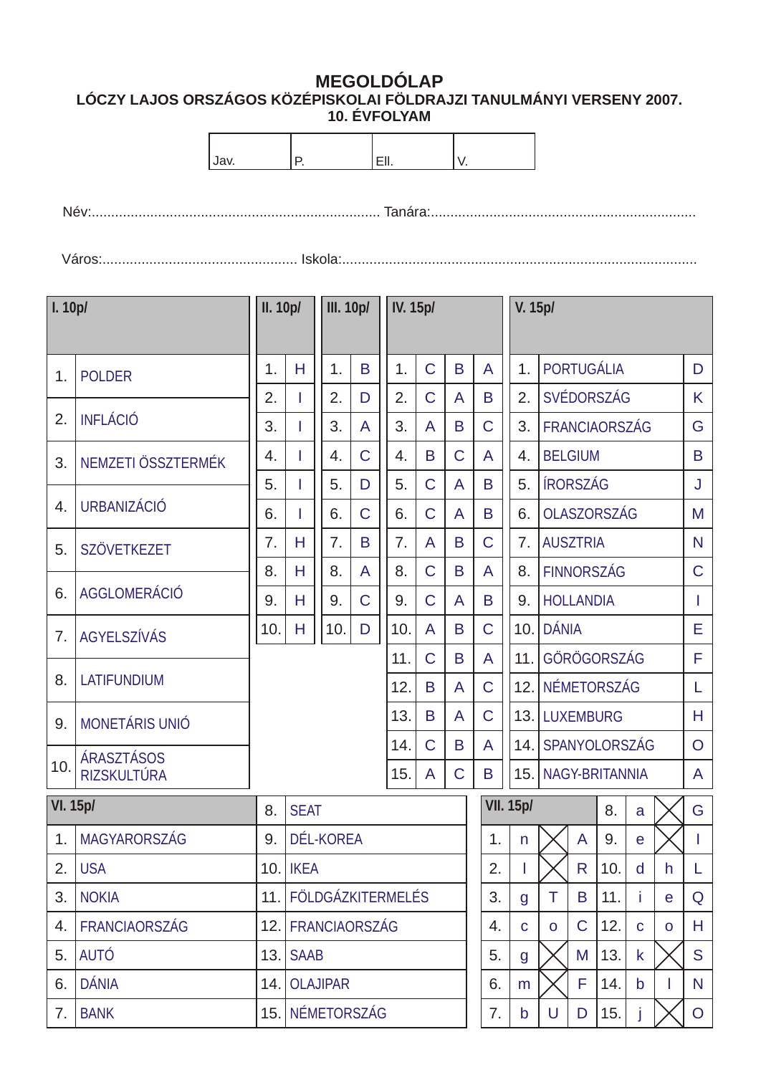## **MEGOLDÓLAP LÓCZY LAJOS ORSZÁGOS KÖZÉPISKOLAI FÖLDRAJZI TANULMÁNYI VERSENY 2007. 10. ÉVFOLYAM**

| Jav.            |                      |      | Ρ.                                                     |                          |                | EII. |          |                | V.             |             |                  |                |                  |              |                       |              |   |                |
|-----------------|----------------------|------|--------------------------------------------------------|--------------------------|----------------|------|----------|----------------|----------------|-------------|------------------|----------------|------------------|--------------|-----------------------|--------------|---|----------------|
|                 |                      |      |                                                        |                          |                |      |          |                |                |             |                  |                |                  |              |                       |              |   |                |
|                 |                      |      |                                                        |                          |                |      |          |                |                |             |                  |                |                  |              |                       |              |   |                |
|                 |                      |      |                                                        |                          |                |      |          |                |                |             |                  |                |                  |              |                       |              |   |                |
| $\vert$ I. 10p/ |                      |      | <b>III.</b> 10p/<br>II. 10p/                           |                          |                |      | IV. 15p/ |                |                |             |                  | V. 15p/        |                  |              |                       |              |   |                |
|                 |                      |      |                                                        |                          |                |      |          |                |                |             |                  |                |                  |              |                       |              |   |                |
| 1.              | <b>POLDER</b>        | 1.   | H                                                      | 1.                       | B              |      | 1.       | $\overline{C}$ | B              |             | A                | 1 <sub>1</sub> |                  |              | PORTUGÁLIA            |              |   | D              |
| 2.              | <b>INFLÁCIÓ</b>      | 2.   | ı                                                      | 2.                       | D              |      | 2.       | $\mathsf C$    | A              |             | B                | 2.             |                  |              | SVÉDORSZÁG            |              |   | K              |
|                 |                      | 3.   | ı                                                      | 3.                       | A              |      | 3.       | A              | B              |             | $\overline{C}$   | 3 <sub>1</sub> |                  |              | <b>FRANCIAORSZÁG</b>  |              |   | G              |
| 3.              | NEMZETI ÖSSZTERMÉK   | 4.   | ı                                                      | 4.                       | $\mathsf C$    |      | 4.       | B              | $\mathsf C$    |             | A                | 4.             | <b>BELGIUM</b>   |              |                       |              |   | B              |
| 4.              | <b>URBANIZÁCIÓ</b>   | 5.   | Ш                                                      | 5.                       | D              |      | 5.       | $\overline{C}$ | A              |             | B                | 5.             | <b>IRORSZÁG</b>  |              |                       |              |   | J              |
|                 |                      | 6.   | ı                                                      | 6.                       | $\overline{C}$ |      | 6.       | $\overline{C}$ | A              |             | B                | 6.             |                  |              | <b>OLASZORSZÁG</b>    |              |   | M              |
| 5.              | <b>SZÖVETKEZET</b>   | 7.   | H                                                      | 7.                       | B              |      | 7.       | A              | B              |             | $\mathsf C$      | 7 <sub>1</sub> | <b>AUSZTRIA</b>  |              |                       |              |   | N              |
| 6.              | AGGLOMERÁCIÓ         | 8.   | H                                                      | 8.                       | A              |      | 8.       | $\mathsf{C}$   | B              |             | A                | 8.             |                  |              | FINNORSZÁG            |              |   | $\mathsf{C}$   |
|                 |                      | 9.   | H                                                      | 9.                       | $\mathbf C$    |      | 9.       | $\overline{C}$ | $\overline{A}$ |             | B                | 9.             | <b>HOLLANDIA</b> |              |                       |              |   | $\mathbf{I}$   |
| 7.              | <b>AGYELSZÍVÁS</b>   | 10.  | Н                                                      | 10.                      | D              |      | 10.      | A              | B              |             | $\mathsf{C}$     |                | 10. DÁNIA        |              |                       |              |   | Е              |
| 8.              | <b>LATIFUNDIUM</b>   |      |                                                        |                          |                |      | 11.      | C              | B              |             | A                |                |                  |              | 11. GÖRÖGORSZÁG       |              |   | F              |
|                 |                      |      |                                                        |                          |                |      | 12.      | B              | A              |             | $\mathsf C$      |                |                  |              | 12. NÉMETORSZÁG       |              |   | L              |
| 9.              | MONETÁRIS UNIÓ       |      |                                                        |                          |                |      | 13.      | B              | A              |             | $\mathsf C$      |                | 13. LUXEMBURG    |              |                       |              |   | H              |
| 10.             | ÁRASZTÁSOS           |      |                                                        |                          |                |      | 14.      | $\mathsf C$    | B              |             | A                |                |                  |              | 14. SPANYOLORSZÁG     |              |   | $\overline{O}$ |
|                 | RIZSKULTÚRA          |      |                                                        |                          |                |      | 15.      | A              | $\overline{C}$ |             | B                | 15.            |                  |              | <b>NAGY-BRITANNIA</b> |              |   | A              |
| VI. 15p/        |                      | 8.   | <b>SEAT</b>                                            |                          |                |      |          |                |                |             | <b>VII. 15p/</b> |                |                  |              | 8.                    | a            |   | G              |
| 1.              | <b>MAGYARORSZÁG</b>  | 9.   |                                                        | DÉL-KOREA                |                |      |          |                |                |             | 1.               | n              |                  | $\mathsf{A}$ | 9.                    | $\mathbf{e}$ |   | L              |
| 2.              | <b>USA</b>           | 10.1 | <b>IKEA</b>                                            |                          |                |      |          |                |                |             | 2.               |                |                  | R            | 10.                   | d            | h | L.             |
| 3.              | <b>NOKIA</b>         | 11.  |                                                        | <b>FÖLDGÁZKITERMELÉS</b> |                |      |          |                |                |             | 3.               | g              | T                | B            | 11.                   | Ť            | e | Q              |
| 4.              | <b>FRANCIAORSZÁG</b> | 12.  | FRANCIAORSZÁG                                          |                          |                |      |          |                | 4.             | $\mathbf C$ | $\mathsf{o}$     | $\mathsf C$    | 12.              | $\mathbf C$  | $\mathsf{o}$          | H            |   |                |
| 5.              | <b>AUTÓ</b>          | 13.  | <b>SAAB</b>                                            |                          |                |      |          |                |                |             | 5.               | g              |                  | M            | 13.                   | $\mathsf k$  |   | S              |
| 6.              | <b>DÁNIA</b>         | 14.  | F<br><b>OLAJIPAR</b><br>6.<br>14.<br>$\mathsf{b}$<br>m |                          |                |      |          |                |                | N           |                  |                |                  |              |                       |              |   |                |
| 7.              | <b>BANK</b>          | 15.1 |                                                        | NÉMETORSZÁG              |                |      |          |                |                |             | 7.               | b              | U                | D            | 15.                   |              |   | $\overline{O}$ |